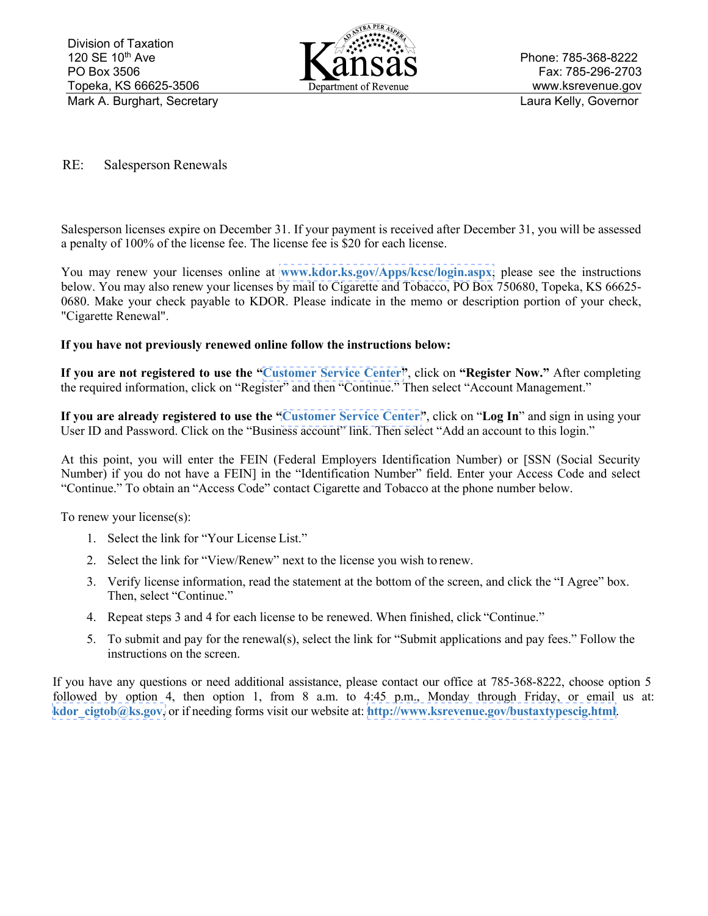

Phone: 785-368-8222 Fax: 785-296-2703 www.ksrevenue.gov Mark A. Burghart, Secretary **Laura Kelly, Governor** Laura Kelly, Governor

RE: Salesperson Renewals

Salesperson licenses expire on December 31. If your payment is received after December 31, you will be assessed a penalty of 100% of the license fee. The license fee is \$20 for each license.

You may renew your licenses online at **[www.kdor.ks.gov/Apps/kcsc/login.aspx](https://www.kdor.ks.gov/Apps/kcsc/login.aspx)**, please see the instructions below. You may also renew your licenses by mail to Cigarette and Tobacco, PO Box 750680, Topeka, KS 66625- 0680. Make your check payable to KDOR. Please indicate in the memo or description portion of your check, "Cigarette Renewal".

## **If you have not previously renewed online follow the instructions below:**

**If you are not registered to use the "[Customer Service Center"](https://www.kdor.ks.gov/Apps/kcsc/login.aspx)**, click on **"Register Now."** After completing the required information, click on "Register" and then "Continue." Then select "Account Management."

**If you are already registered to use the ["Customer Service Center"](https://www.kdor.ks.gov/Apps/kcsc/login.aspx)**, click on "**Log In**" and sign in using your User ID and Password. Click on the "Business account" link. Then select "Add an account to this login."

At this point, you will enter the FEIN (Federal Employers Identification Number) or [SSN (Social Security Number) if you do not have a FEIN] in the "Identification Number" field. Enter your Access Code and select "Continue." To obtain an "Access Code" contact Cigarette and Tobacco at the phone number below.

To renew your license(s):

- 1. Select the link for "Your License List."
- 2. Select the link for "View/Renew" next to the license you wish to renew.
- 3. Verify license information, read the statement at the bottom of the screen, and click the "I Agree" box. Then, select "Continue."
- 4. Repeat steps 3 and 4 for each license to be renewed. When finished, click "Continue."
- 5. To submit and pay for the renewal(s), select the link for "Submit applications and pay fees." Follow the instructions on the screen.

If you have any questions or need additional assistance, please contact our office at 785-368-8222, choose option 5 followed by option 4, then option 1, from 8 a.m. to 4:45 p.m., Monday through Friday, or email us at: **[kdor\\_cigtob@ks.gov](mailto:kdor_cigtob@ks.gov)**, or if needing forms visit our website at: **[http://www.ksrevenue.](https://www.ksrevenue.org/bustaxtypescig.html)gov/bustaxtypescig.html**.